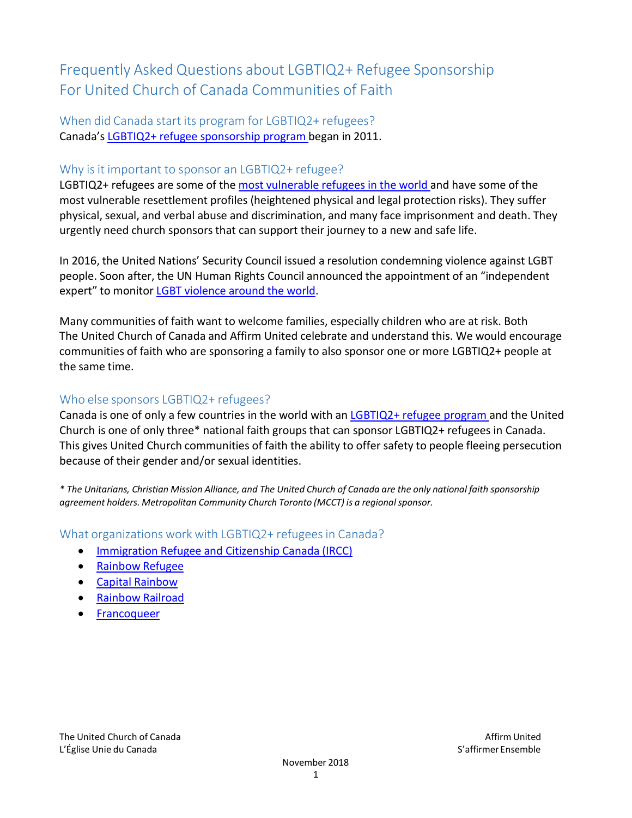# Frequently Asked Questions about LGBTIQ2+ Refugee Sponsorship For United Church of Canada Communities of Faith

When did Canada start its program for LGBTIQ2+ refugees? Canada's LGBTIQ2+ refugee [sponsorship](https://www.canada.ca/en/immigration-refugees-citizenship/services/refugees/canada-role/lgbtq2.html) program began in 2011.

# Why is it important to sponsor an LGBTIQ2+ refugee?

LGBTIQ2+ refugees are some of the most [vulnerable](https://www.united-church.ca/news/solidarity-lgbtq-people-chechnya-and-around-world) refugees in the world and have some of the most vulnerable resettlement profiles (heightened physical and legal protection risks). They suffer physical, sexual, and verbal abuse and discrimination, and many face imprisonment and death. They urgently need church sponsors that can support their journey to a new and safe life.

In 2016, the United Nations' Security Council issued a resolution condemning violence against LGBT people. Soon after, the UN Human Rights Council announced the appointment of an "independent expert" to monitor LGBT [violence](https://www.unfe.org/wp-content/uploads/2017/05/Homophobic-and-Transphobic-Violence.pdf) around the world.

Many communities of faith want to welcome families, especially children who are at risk. Both The United Church of Canada and Affirm United celebrate and understand this. We would encourage communities of faith who are sponsoring a family to also sponsor one or more LGBTIQ2+ people at the same time.

# Who else sponsors LGBTIQ2+ refugees?

Canada is one of only a few countries in the world with an [LGBTIQ2+ refugee](https://www.canada.ca/en/immigration-refugees-citizenship/services/refugees/canada-role/lgbtq2.html) program and the United Church is one of only three\* national faith groups that can sponsor LGBTIQ2+ refugees in Canada. This gives United Church communities of faith the ability to offer safety to people fleeing persecution because of their gender and/or sexual identities.

\* The Unitarians, Christian Mission Alliance, and The United Church of Canada are the only national faith sponsorship *agreement holders. Metropolitan Community Church Toronto (MCCT) is a regionalsponsor.*

## What organizations work with LGBTIQ2+ refugees in Canada?

- Immigration Refugee [and Citizenship](https://www.canada.ca/en/immigration-refugees-citizenship/services/refugees/canada-role/lgbtq2.html) Canada (IRCC)
- [Rainbow](http://www.rainbowrefugee.com/) Refugee
- Capital [Rainbow](http://www.capitalrainbow.ca/)
- [Rainbow](https://www.rainbowrailroad.ca/) Railroad
- [Francoqueer](http://www.francoqueer.ca/en/about/)